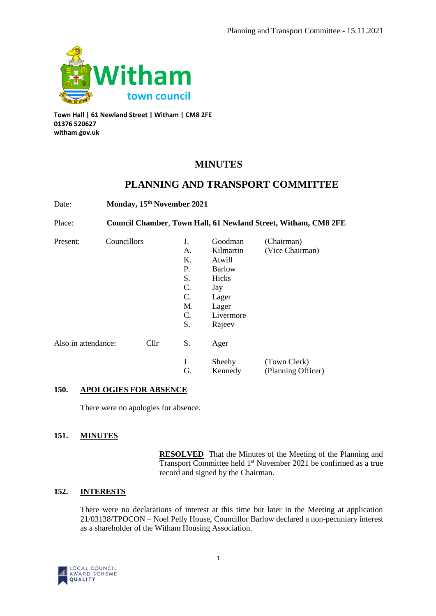

**Town Hall | 61 Newland Street | Witham | CM8 2FE 01376 520627 witham.gov.uk**

# **MINUTES**

# **PLANNING AND TRANSPORT COMMITTEE**

Date: **Monday, 15th November 2021** Place: **Council Chamber**, **Town Hall, 61 Newland Street, Witham, CM8 2FE** Present: Councillors J. Goodman (Chairman) A. Kilmartin (Vice Chairman) K. Atwill P. Barlow S. Hicks C. Jay C. Lager M. Lager C. Livermore S. Rajeev Also in attendance: Cllr S. Ager J Sheehy (Town Clerk) G. Kennedy (Planning Officer)

# **150. APOLOGIES FOR ABSENCE**

There were no apologies for absence.

# **151. MINUTES**

**RESOLVED** That the Minutes of the Meeting of the Planning and Transport Committee held 1st November 2021 be confirmed as a true record and signed by the Chairman.

# **152. INTERESTS**

There were no declarations of interest at this time but later in the Meeting at application 21/03138/TPOCON – Noel Pelly House, Councillor Barlow declared a non-pecuniary interest as a shareholder of the Witham Housing Association.

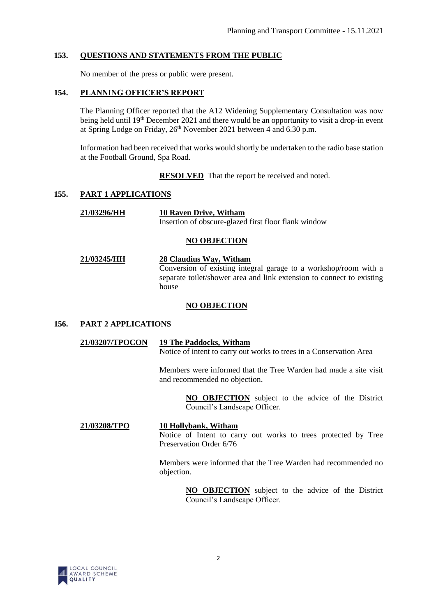### **153. QUESTIONS AND STATEMENTS FROM THE PUBLIC**

No member of the press or public were present.

### **154. PLANNING OFFICER'S REPORT**

The Planning Officer reported that the A12 Widening Supplementary Consultation was now being held until 19<sup>th</sup> December 2021 and there would be an opportunity to visit a drop-in event at Spring Lodge on Friday,  $26<sup>th</sup>$  November 2021 between 4 and 6.30 p.m.

Information had been received that works would shortly be undertaken to the radio base station at the Football Ground, Spa Road.

**RESOLVED** That the report be received and noted.

#### **155. PART 1 APPLICATIONS**

**21/03296/HH 10 Raven Drive, Witham** Insertion of obscure-glazed first floor flank window

#### **NO OBJECTION**

**21/03245/HH 28 Claudius Way, Witham** Conversion of existing integral garage to a workshop/room with a separate toilet/shower area and link extension to connect to existing house

#### **NO OBJECTION**

#### **156. PART 2 APPLICATIONS**

#### **21/03207/TPOCON 19 The Paddocks, Witham** Notice of intent to carry out works to trees in a Conservation Area

Members were informed that the Tree Warden had made a site visit and recommended no objection.

> **NO OBJECTION** subject to the advice of the District Council's Landscape Officer.

**21/03208/TPO 10 Hollybank, Witham** Notice of Intent to carry out works to trees protected by Tree Preservation Order 6/76

> Members were informed that the Tree Warden had recommended no objection.

> > **NO OBJECTION** subject to the advice of the District Council's Landscape Officer.

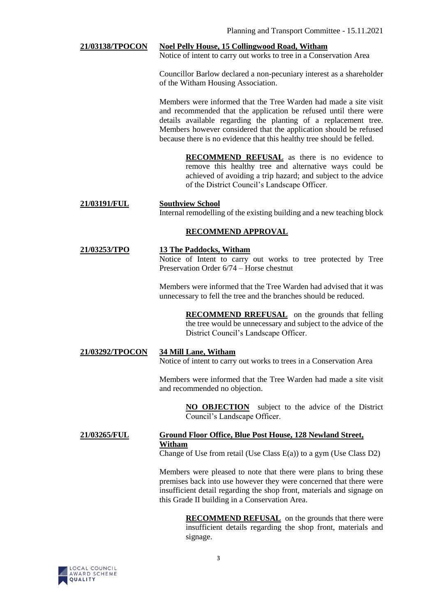#### **21/03138/TPOCON Noel Pelly House, 15 Collingwood Road, Witham**

Notice of intent to carry out works to tree in a Conservation Area

Councillor Barlow declared a non-pecuniary interest as a shareholder of the Witham Housing Association.

Members were informed that the Tree Warden had made a site visit and recommended that the application be refused until there were details available regarding the planting of a replacement tree. Members however considered that the application should be refused because there is no evidence that this healthy tree should be felled.

> **RECOMMEND REFUSAL** as there is no evidence to remove this healthy tree and alternative ways could be achieved of avoiding a trip hazard; and subject to the advice of the District Council's Landscape Officer.

#### **21/03191/FUL Southview School** Internal remodelling of the existing building and a new teaching block

# **RECOMMEND APPROVAL**

#### **21/03253/TPO 13 The Paddocks, Witham**

Notice of Intent to carry out works to tree protected by Tree Preservation Order 6/74 – Horse chestnut

Members were informed that the Tree Warden had advised that it was unnecessary to fell the tree and the branches should be reduced.

> **RECOMMEND RREFUSAL** on the grounds that felling the tree would be unnecessary and subject to the advice of the District Council's Landscape Officer.

# **21/03292/TPOCON 34 Mill Lane, Witham**

Notice of intent to carry out works to trees in a Conservation Area

Members were informed that the Tree Warden had made a site visit and recommended no objection.

> **NO OBJECTION** subject to the advice of the District Council's Landscape Officer.

# **21/03265/FUL Ground Floor Office, Blue Post House, 128 Newland Street, Witham**

Change of Use from retail (Use Class E(a)) to a gym (Use Class D2)

Members were pleased to note that there were plans to bring these premises back into use however they were concerned that there were insufficient detail regarding the shop front, materials and signage on this Grade II building in a Conservation Area.

> **RECOMMEND REFUSAL** on the grounds that there were insufficient details regarding the shop front, materials and signage.

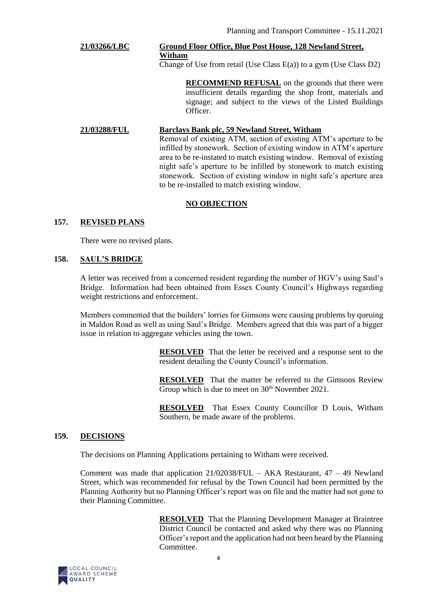# **21/03266/LBC Ground Floor Office, Blue Post House, 128 Newland Street, Witham**

Change of Use from retail (Use Class  $E(a)$ ) to a gym (Use Class D2)

**RECOMMEND REFUSAL** on the grounds that there were insufficient details regarding the shop front, materials and signage; and subject to the views of the Listed Buildings Officer.

#### **21/03288/FUL Barclays Bank plc, 59 Newland Street, Witham**

Removal of existing ATM, section of existing ATM's aperture to be infilled by stonework. Section of existing window in ATM's aperture area to be re-instated to match existing window. Removal of existing night safe's aperture to be infilled by stonework to match existing stonework. Section of existing window in night safe's aperture area to be re-installed to match existing window.

# **NO OBJECTION**

# **157. REVISED PLANS**

There were no revised plans.

#### **158. SAUL'S BRIDGE**

A letter was received from a concerned resident regarding the number of HGV's using Saul's Bridge. Information had been obtained from Essex County Council's Highways regarding weight restrictions and enforcement.

Members commented that the builders' lorries for Gimsons were causing problems by queuing in Maldon Road as well as using Saul's Bridge. Members agreed that this was part of a bigger issue in relation to aggregate vehicles using the town.

> **RESOLVED** That the letter be received and a response sent to the resident detailing the County Council's information.

> **RESOLVED** That the matter be referred to the Gimsons Review Group which is due to meet on  $30<sup>th</sup>$  November 2021.

> **RESOLVED** That Essex County Councillor D Louis, Witham Southern, be made aware of the problems.

#### **159. DECISIONS**

The decisions on Planning Applications pertaining to Witham were received.

Comment was made that application 21/02038/FUL – AKA Restaurant, 47 – 49 Newland Street, which was recommended for refusal by the Town Council had been permitted by the Planning Authority but no Planning Officer's report was on file and the matter had not gone to their Planning Committee.

> **RESOLVED** That the Planning Development Manager at Braintree District Council be contacted and asked why there was no Planning Officer's report and the application had not been heard by the Planning Committee.